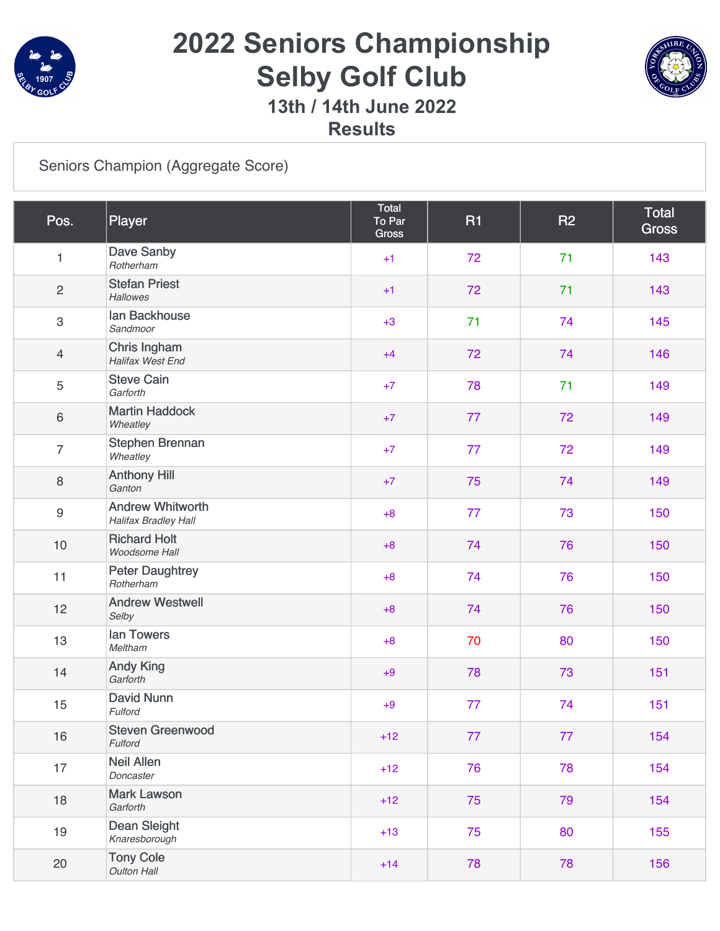

# **2022 Seniors Championship Selby Golf Club**



**13th / 14th June 2022**

**Results**

#### [Seniors Champion \(Aggregate Score\)](https://static.golfgenius.com/v2tournaments/8198038205031807606?called_from=&round_index=2)

| Pos.                      | Player                                          | Total<br>To Par<br><b>Gross</b> | <b>R1</b> | <b>R2</b> | <b>Total</b><br><b>Gross</b> |
|---------------------------|-------------------------------------------------|---------------------------------|-----------|-----------|------------------------------|
| $\mathbf{1}$              | Dave Sanby<br>Rotherham                         | $+1$                            | 72        | 71        | 143                          |
| $\overline{c}$            | <b>Stefan Priest</b><br><b>Hallowes</b>         | $+1$                            | 72        | 71        | 143                          |
| $\ensuremath{\mathsf{3}}$ | lan Backhouse<br>Sandmoor                       | $+3$                            | 71        | 74        | 145                          |
| $\overline{4}$            | Chris Ingham<br>Halifax West End                | $+4$                            | 72        | 74        | 146                          |
| 5                         | <b>Steve Cain</b><br>Garforth                   | $+7$                            | 78        | 71        | 149                          |
| $\,6\,$                   | <b>Martin Haddock</b><br>Wheatley               | $+7$                            | 77        | 72        | 149                          |
| $\overline{7}$            | Stephen Brennan<br>Wheatley                     | $+7$                            | 77        | 72        | 149                          |
| $\,8\,$                   | <b>Anthony Hill</b><br>Ganton                   | $+7$                            | 75        | 74        | 149                          |
| $\boldsymbol{9}$          | <b>Andrew Whitworth</b><br>Halifax Bradley Hall | $+8$                            | 77        | 73        | 150                          |
| 10                        | <b>Richard Holt</b><br>Woodsome Hall            | $+8$                            | 74        | 76        | 150                          |
| 11                        | <b>Peter Daughtrey</b><br>Rotherham             | $+8$                            | 74        | 76        | 150                          |
| 12                        | <b>Andrew Westwell</b><br>Selby                 | $+8$                            | 74        | 76        | 150                          |
| 13                        | lan Towers<br>Meltham                           | $+8$                            | 70        | 80        | 150                          |
| 14                        | <b>Andy King</b><br>Garforth                    | $+9$                            | 78        | 73        | 151                          |
| 15                        | <b>David Nunn</b><br>Fulford                    | $+9$                            | 77        | 74        | 151                          |
| 16                        | <b>Steven Greenwood</b><br>Fulford              | $+12$                           | 77        | 77        | 154                          |
| 17                        | <b>Neil Allen</b><br>Doncaster                  | $+12$                           | 76        | 78        | 154                          |
| 18                        | <b>Mark Lawson</b><br>Garforth                  | $+12$                           | 75        | 79        | 154                          |
| 19                        | <b>Dean Sleight</b><br>Knaresborough            | $+13$                           | 75        | 80        | 155                          |
| 20                        | <b>Tony Cole</b><br><b>Oulton Hall</b>          | $+14$                           | 78        | 78        | 156                          |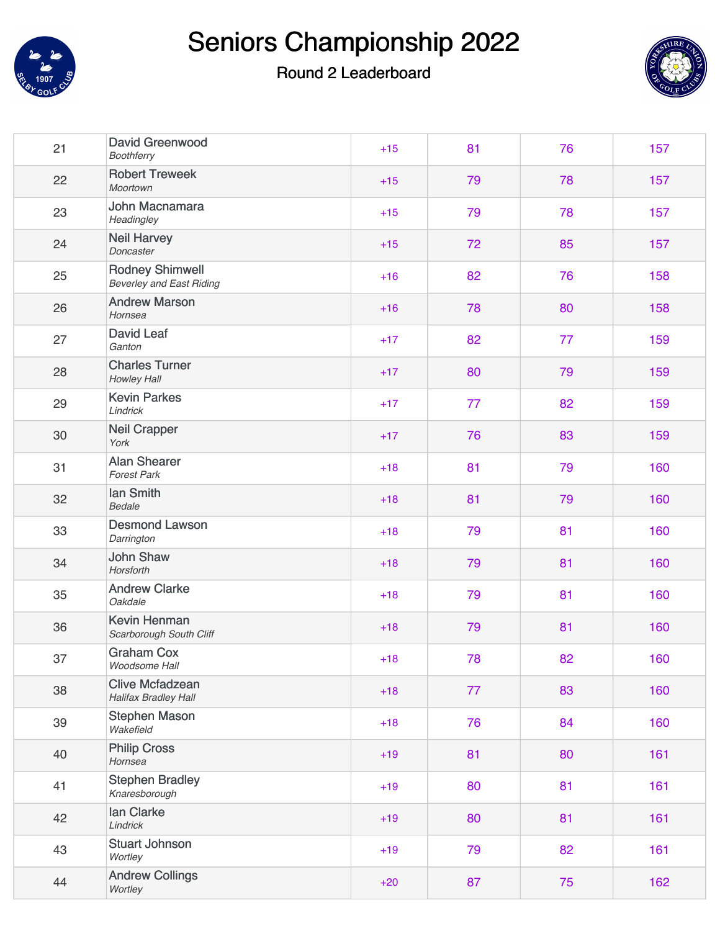



| 21 | <b>David Greenwood</b><br><b>Boothferry</b>               | $+15$ | 81 | 76 | 157 |
|----|-----------------------------------------------------------|-------|----|----|-----|
| 22 | <b>Robert Treweek</b><br><b>Moortown</b>                  | $+15$ | 79 | 78 | 157 |
| 23 | John Macnamara<br>Headingley                              | $+15$ | 79 | 78 | 157 |
| 24 | <b>Neil Harvey</b><br>Doncaster                           | $+15$ | 72 | 85 | 157 |
| 25 | <b>Rodney Shimwell</b><br><b>Beverley and East Riding</b> | $+16$ | 82 | 76 | 158 |
| 26 | <b>Andrew Marson</b><br>Hornsea                           | $+16$ | 78 | 80 | 158 |
| 27 | <b>David Leaf</b><br>Ganton                               | $+17$ | 82 | 77 | 159 |
| 28 | <b>Charles Turner</b><br>Howley Hall                      | $+17$ | 80 | 79 | 159 |
| 29 | <b>Kevin Parkes</b><br>Lindrick                           | $+17$ | 77 | 82 | 159 |
| 30 | <b>Neil Crapper</b><br>York                               | $+17$ | 76 | 83 | 159 |
| 31 | <b>Alan Shearer</b><br><b>Forest Park</b>                 | $+18$ | 81 | 79 | 160 |
| 32 | lan Smith<br>Bedale                                       | $+18$ | 81 | 79 | 160 |
| 33 | <b>Desmond Lawson</b><br>Darrington                       | $+18$ | 79 | 81 | 160 |
| 34 | <b>John Shaw</b><br>Horsforth                             | $+18$ | 79 | 81 | 160 |
| 35 | <b>Andrew Clarke</b><br>Oakdale                           | $+18$ | 79 | 81 | 160 |
| 36 | <b>Kevin Henman</b><br>Scarborough South Cliff            | $+18$ | 79 | 81 | 160 |
| 37 | <b>Graham Cox</b><br>Woodsome Hall                        | $+18$ | 78 | 82 | 160 |
| 38 | <b>Clive Mcfadzean</b><br><b>Halifax Bradley Hall</b>     | $+18$ | 77 | 83 | 160 |
| 39 | <b>Stephen Mason</b><br>Wakefield                         | $+18$ | 76 | 84 | 160 |
| 40 | <b>Philip Cross</b><br>Hornsea                            | $+19$ | 81 | 80 | 161 |
| 41 | <b>Stephen Bradley</b><br>Knaresborough                   | $+19$ | 80 | 81 | 161 |
| 42 | lan Clarke<br>Lindrick                                    | $+19$ | 80 | 81 | 161 |
| 43 | <b>Stuart Johnson</b><br>Wortley                          | $+19$ | 79 | 82 | 161 |
| 44 | <b>Andrew Collings</b><br>Wortley                         | $+20$ | 87 | 75 | 162 |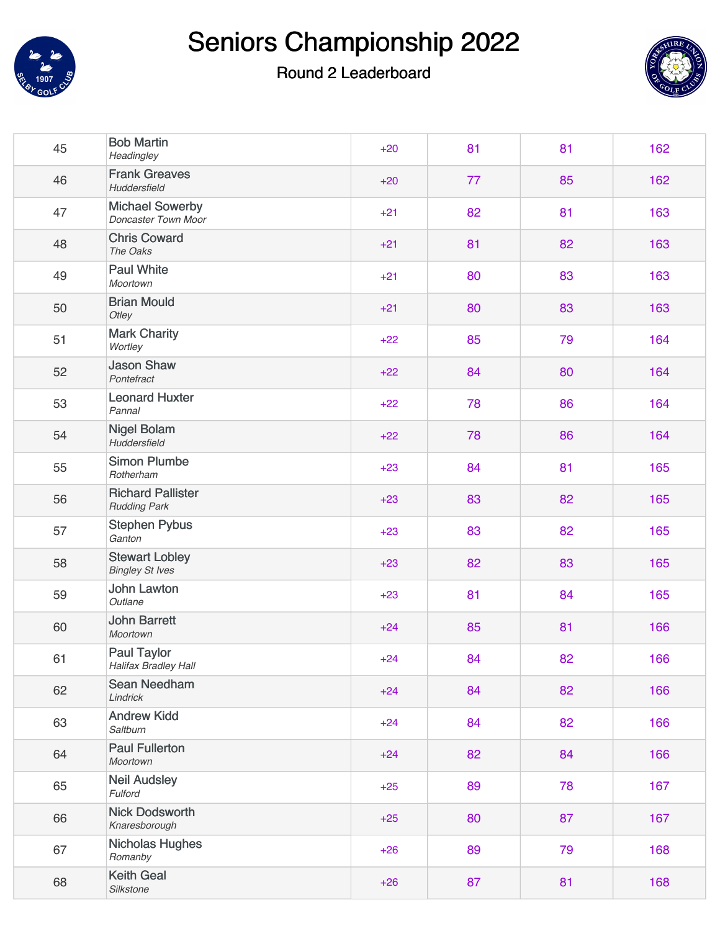



| 45 | <b>Bob Martin</b><br>Headingley                   | $+20$ | 81 | 81 | 162 |
|----|---------------------------------------------------|-------|----|----|-----|
| 46 | <b>Frank Greaves</b><br>Huddersfield              | $+20$ | 77 | 85 | 162 |
| 47 | <b>Michael Sowerby</b><br>Doncaster Town Moor     | $+21$ | 82 | 81 | 163 |
| 48 | <b>Chris Coward</b><br>The Oaks                   | $+21$ | 81 | 82 | 163 |
| 49 | <b>Paul White</b><br>Moortown                     | $+21$ | 80 | 83 | 163 |
| 50 | <b>Brian Mould</b><br>Otley                       | $+21$ | 80 | 83 | 163 |
| 51 | <b>Mark Charity</b><br>Wortley                    | $+22$ | 85 | 79 | 164 |
| 52 | <b>Jason Shaw</b><br>Pontefract                   | $+22$ | 84 | 80 | 164 |
| 53 | <b>Leonard Huxter</b><br>Pannal                   | $+22$ | 78 | 86 | 164 |
| 54 | <b>Nigel Bolam</b><br>Huddersfield                | $+22$ | 78 | 86 | 164 |
| 55 | <b>Simon Plumbe</b><br>Rotherham                  | $+23$ | 84 | 81 | 165 |
| 56 | <b>Richard Pallister</b><br><b>Rudding Park</b>   | $+23$ | 83 | 82 | 165 |
| 57 | <b>Stephen Pybus</b><br>Ganton                    | $+23$ | 83 | 82 | 165 |
| 58 | <b>Stewart Lobley</b><br><b>Bingley St Ives</b>   | $+23$ | 82 | 83 | 165 |
| 59 | <b>John Lawton</b><br>Outlane                     | $+23$ | 81 | 84 | 165 |
| 60 | <b>John Barrett</b><br>Moortown                   | $+24$ | 85 | 81 | 166 |
| 61 | <b>Paul Taylor</b><br><b>Halifax Bradley Hall</b> | $+24$ | 84 | 82 | 166 |
| 62 | Sean Needham<br>Lindrick                          | $+24$ | 84 | 82 | 166 |
| 63 | <b>Andrew Kidd</b><br>Saltburn                    | $+24$ | 84 | 82 | 166 |
| 64 | <b>Paul Fullerton</b><br>Moortown                 | $+24$ | 82 | 84 | 166 |
| 65 | <b>Neil Audsley</b><br>Fulford                    | $+25$ | 89 | 78 | 167 |
| 66 | <b>Nick Dodsworth</b><br>Knaresborough            | $+25$ | 80 | 87 | 167 |
| 67 | Nicholas Hughes<br>Romanby                        | $+26$ | 89 | 79 | 168 |
| 68 | <b>Keith Geal</b><br>Silkstone                    | $+26$ | 87 | 81 | 168 |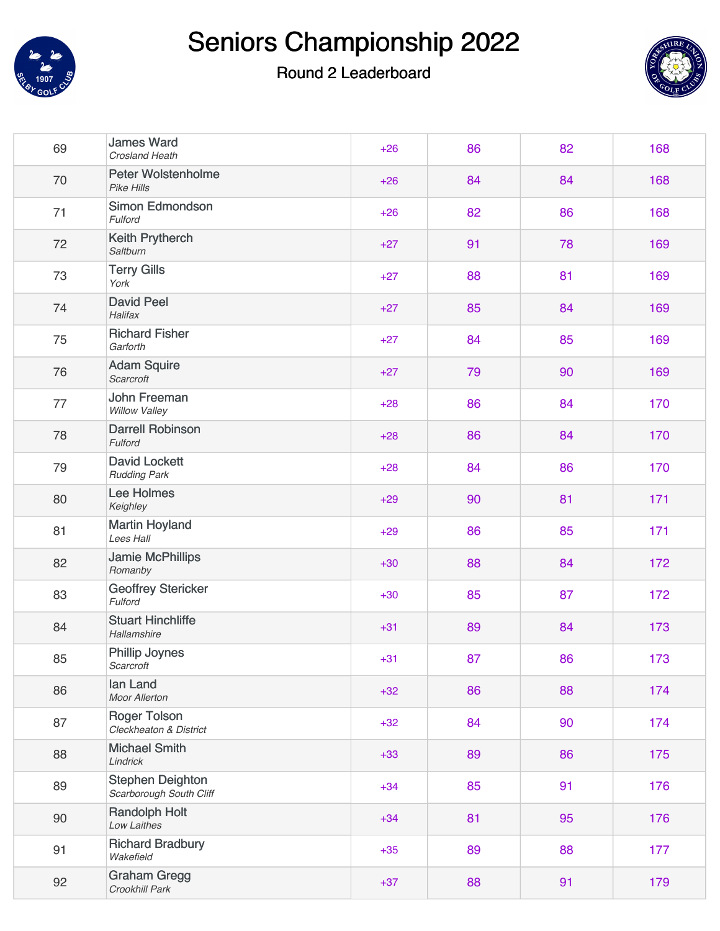



| 69 | <b>James Ward</b><br><b>Crosland Heath</b>         | $+26$ | 86 | 82 | 168 |
|----|----------------------------------------------------|-------|----|----|-----|
| 70 | <b>Peter Wolstenholme</b><br>Pike Hills            | $+26$ | 84 | 84 | 168 |
| 71 | Simon Edmondson<br>Fulford                         | $+26$ | 82 | 86 | 168 |
| 72 | <b>Keith Prytherch</b><br>Saltburn                 | $+27$ | 91 | 78 | 169 |
| 73 | <b>Terry Gills</b><br>York                         | $+27$ | 88 | 81 | 169 |
| 74 | <b>David Peel</b><br>Halifax                       | $+27$ | 85 | 84 | 169 |
| 75 | <b>Richard Fisher</b><br>Garforth                  | $+27$ | 84 | 85 | 169 |
| 76 | <b>Adam Squire</b><br>Scarcroft                    | $+27$ | 79 | 90 | 169 |
| 77 | John Freeman<br>Willow Valley                      | $+28$ | 86 | 84 | 170 |
| 78 | <b>Darrell Robinson</b><br>Fulford                 | $+28$ | 86 | 84 | 170 |
| 79 | <b>David Lockett</b><br><b>Rudding Park</b>        | $+28$ | 84 | 86 | 170 |
| 80 | Lee Holmes<br>Keighley                             | $+29$ | 90 | 81 | 171 |
| 81 | <b>Martin Hoyland</b><br>Lees Hall                 | $+29$ | 86 | 85 | 171 |
| 82 | <b>Jamie McPhillips</b><br>Romanby                 | $+30$ | 88 | 84 | 172 |
| 83 | <b>Geoffrey Stericker</b><br>Fulford               | $+30$ | 85 | 87 | 172 |
| 84 | <b>Stuart Hinchliffe</b><br>Hallamshire            | $+31$ | 89 | 84 | 173 |
| 85 | <b>Phillip Joynes</b><br>Scarcroft                 | $+31$ | 87 | 86 | 173 |
| 86 | lan Land<br>Moor Allerton                          | $+32$ | 86 | 88 | 174 |
| 87 | <b>Roger Tolson</b><br>Cleckheaton & District      | $+32$ | 84 | 90 | 174 |
| 88 | <b>Michael Smith</b><br>Lindrick                   | $+33$ | 89 | 86 | 175 |
| 89 | <b>Stephen Deighton</b><br>Scarborough South Cliff | $+34$ | 85 | 91 | 176 |
| 90 | <b>Randolph Holt</b><br>Low Laithes                | $+34$ | 81 | 95 | 176 |
| 91 | <b>Richard Bradbury</b><br>Wakefield               | $+35$ | 89 | 88 | 177 |
| 92 | <b>Graham Gregg</b><br>Crookhill Park              | $+37$ | 88 | 91 | 179 |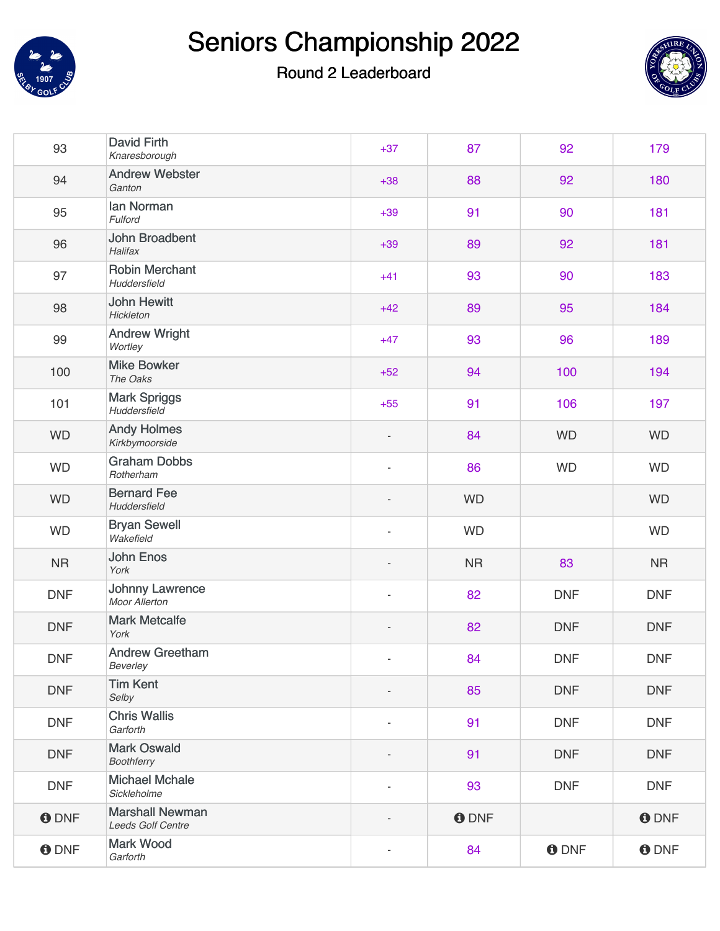



| 93           | <b>David Firth</b><br>Knaresborough         | $+37$                    | 87              | 92          | 179          |
|--------------|---------------------------------------------|--------------------------|-----------------|-------------|--------------|
| 94           | <b>Andrew Webster</b><br>Ganton             | $+38$                    | 88              | 92          | 180          |
| 95           | lan Norman<br>Fulford                       | $+39$                    | 91              | 90          | 181          |
| 96           | John Broadbent<br>Halifax                   | $+39$                    | 89              | 92          | 181          |
| 97           | <b>Robin Merchant</b><br>Huddersfield       | $+41$                    | 93              | 90          | 183          |
| 98           | <b>John Hewitt</b><br>Hickleton             | $+42$                    | 89              | 95          | 184          |
| 99           | <b>Andrew Wright</b><br>Wortley             | $+47$                    | 93              | 96          | 189          |
| 100          | <b>Mike Bowker</b><br>The Oaks              | $+52$                    | 94              | 100         | 194          |
| 101          | <b>Mark Spriggs</b><br>Huddersfield         | $+55$                    | 91              | 106         | 197          |
| <b>WD</b>    | <b>Andy Holmes</b><br>Kirkbymoorside        | $\overline{\phantom{a}}$ | 84              | <b>WD</b>   | <b>WD</b>    |
| <b>WD</b>    | <b>Graham Dobbs</b><br>Rotherham            | $\overline{\phantom{a}}$ | 86<br><b>WD</b> |             | <b>WD</b>    |
| <b>WD</b>    | <b>Bernard Fee</b><br>Huddersfield          | $\overline{\phantom{a}}$ | <b>WD</b>       |             | <b>WD</b>    |
| <b>WD</b>    | <b>Bryan Sewell</b><br>Wakefield            | $\blacksquare$           | <b>WD</b>       |             | <b>WD</b>    |
| <b>NR</b>    | <b>John Enos</b><br>York                    |                          | <b>NR</b>       | 83          | <b>NR</b>    |
| <b>DNF</b>   | <b>Johnny Lawrence</b><br>Moor Allerton     | ÷,                       | 82              | <b>DNF</b>  | <b>DNF</b>   |
| <b>DNF</b>   | <b>Mark Metcalfe</b><br>York                | $\overline{\phantom{a}}$ | 82              | <b>DNF</b>  | <b>DNF</b>   |
| <b>DNF</b>   | <b>Andrew Greetham</b><br>Beverley          |                          | 84              | <b>DNF</b>  | <b>DNF</b>   |
| <b>DNF</b>   | <b>Tim Kent</b><br>Selby                    |                          | 85              | <b>DNF</b>  | <b>DNF</b>   |
| <b>DNF</b>   | <b>Chris Wallis</b><br>Garforth             | $\overline{\phantom{a}}$ | 91              | <b>DNF</b>  | <b>DNF</b>   |
| <b>DNF</b>   | <b>Mark Oswald</b><br>Boothferry            |                          | 91              | <b>DNF</b>  | <b>DNF</b>   |
| <b>DNF</b>   | <b>Michael Mchale</b><br>Sickleholme        |                          | 93              | <b>DNF</b>  | <b>DNF</b>   |
| <b>O</b> DNF | <b>Marshall Newman</b><br>Leeds Golf Centre |                          | <b>O</b> DNF    |             | <b>O</b> DNF |
| <b>ODNF</b>  | <b>Mark Wood</b><br>Garforth                | $\overline{\phantom{m}}$ | 84              | <b>ODNF</b> | <b>O</b> DNF |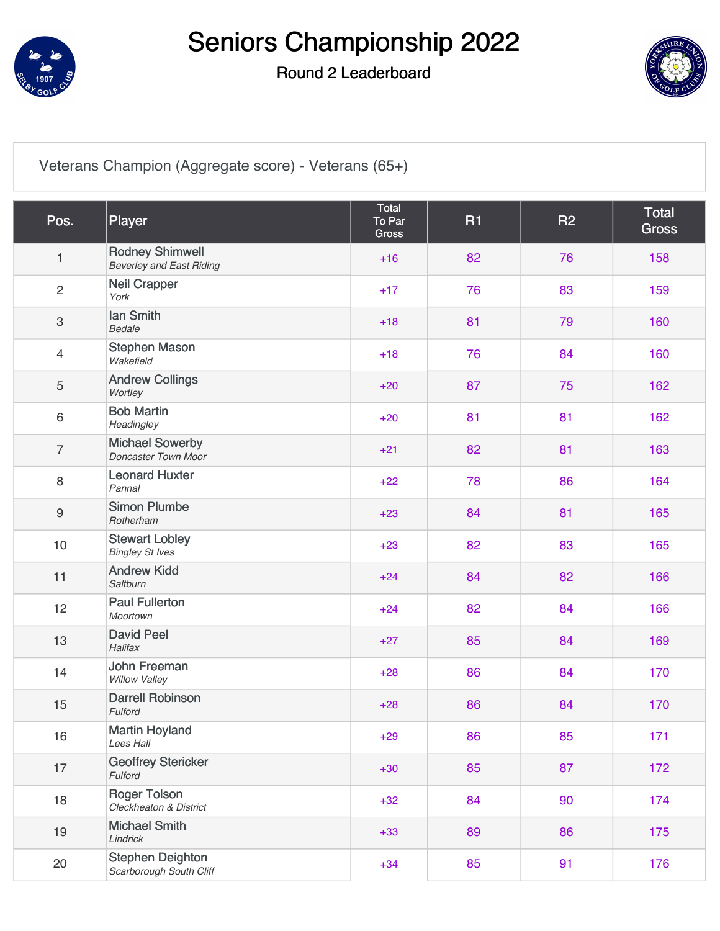

### Round 2 Leaderboard



[Veterans Champion \(Aggregate score\) - Veterans \(65+\)](https://static.golfgenius.com/v2tournaments/8198038223755180665?called_from=&round_index=2)

| Pos.                      | Player                                                    | <b>Total</b><br>To Par<br>Gross | <b>R1</b> | <b>R2</b> | <b>Total</b><br><b>Gross</b> |
|---------------------------|-----------------------------------------------------------|---------------------------------|-----------|-----------|------------------------------|
| 1                         | <b>Rodney Shimwell</b><br><b>Beverley and East Riding</b> | $+16$                           | 82        | 76        | 158                          |
| $\overline{2}$            | <b>Neil Crapper</b><br>York                               | $+17$                           | 76        | 83        | 159                          |
| $\ensuremath{\mathsf{3}}$ | lan Smith<br><b>Bedale</b>                                | $+18$                           | 81        | 79        | 160                          |
| 4                         | <b>Stephen Mason</b><br>Wakefield                         | $+18$                           | 76        | 84        | 160                          |
| 5                         | <b>Andrew Collings</b><br>Wortley                         | $+20$                           | 87        | 75        | 162                          |
| 6                         | <b>Bob Martin</b><br>Headingley                           | $+20$                           | 81        | 81        | 162                          |
| $\overline{7}$            | <b>Michael Sowerby</b><br>Doncaster Town Moor             | $+21$                           | 82        | 81        | 163                          |
| 8                         | <b>Leonard Huxter</b><br>Pannal                           | $+22$                           | 78        | 86        | 164                          |
| $\boldsymbol{9}$          | <b>Simon Plumbe</b><br>Rotherham                          | $+23$                           | 84        | 81        | 165                          |
| 10                        | <b>Stewart Lobley</b><br><b>Bingley St Ives</b>           | $+23$                           | 82        | 83        | 165                          |
| 11                        | <b>Andrew Kidd</b><br>Saltburn                            | $+24$                           | 84        | 82        | 166                          |
| 12                        | <b>Paul Fullerton</b><br>Moortown                         | $+24$                           | 82        | 84        | 166                          |
| 13                        | <b>David Peel</b><br>Halifax                              | $+27$                           | 85        | 84        | 169                          |
| 14                        | <b>John Freeman</b><br><b>Willow Valley</b>               | $+28$                           | 86        | 84        | 170                          |
| 15                        | <b>Darrell Robinson</b><br>Fulford                        | $+28$                           | 86        | 84        | 170                          |
| 16                        | <b>Martin Hoyland</b><br>Lees Hall                        | $+29$                           | 86        | 85        | 171                          |
| 17                        | <b>Geoffrey Stericker</b><br>Fulford                      | $+30$                           | 85        | 87        | 172                          |
| 18                        | <b>Roger Tolson</b><br>Cleckheaton & District             | $+32$                           | 84        | 90        | 174                          |
| 19                        | <b>Michael Smith</b><br>Lindrick                          | $+33$                           | 89        | 86        | 175                          |
| 20                        | <b>Stephen Deighton</b><br>Scarborough South Cliff        | $+34$                           | 85        | 91        | 176                          |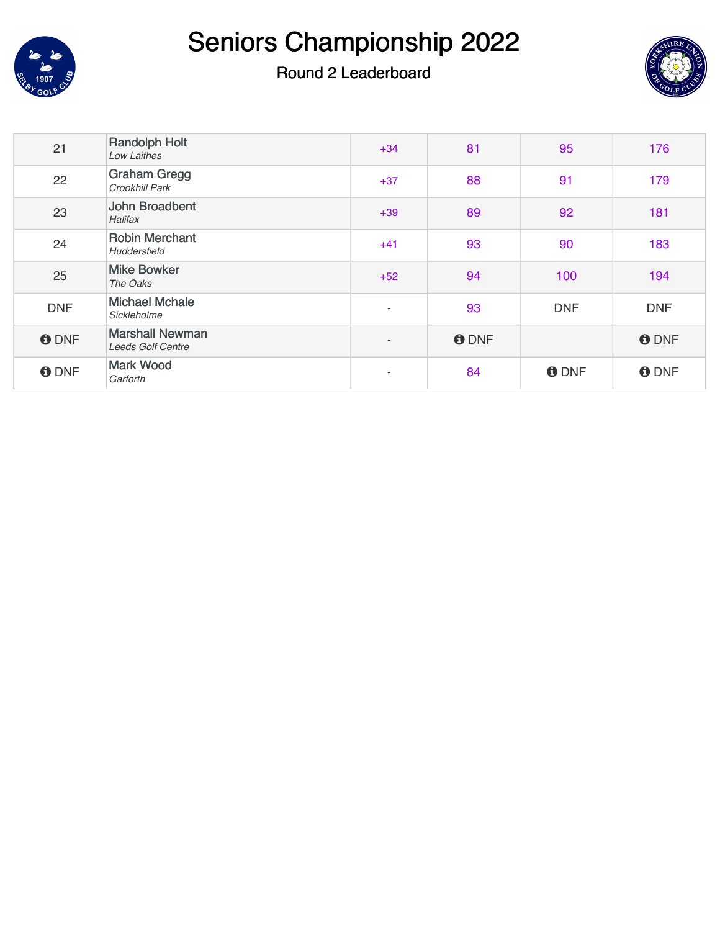



| 21           | <b>Randolph Holt</b><br><b>Low Laithes</b>         | $+34$                    | 81           | 95           | 176          |
|--------------|----------------------------------------------------|--------------------------|--------------|--------------|--------------|
| 22           | <b>Graham Gregg</b><br>Crookhill Park              | $+37$                    | 88           | 91           | 179          |
| 23           | John Broadbent<br><b>Halifax</b>                   | $+39$                    | 89           | 92           | 181          |
| 24           | <b>Robin Merchant</b><br>Huddersfield              | $+41$                    | 93           | 90           | 183          |
| 25           | <b>Mike Bowker</b><br>The Oaks                     | $+52$                    | 94           | 100          | 194          |
| <b>DNF</b>   | <b>Michael Mchale</b><br>Sickleholme               | $\overline{\phantom{a}}$ | 93           | <b>DNF</b>   | <b>DNF</b>   |
| <b>O</b> DNF | <b>Marshall Newman</b><br><b>Leeds Golf Centre</b> | $\overline{\phantom{a}}$ | <b>O</b> DNF |              | <b>O</b> DNF |
| <b>O</b> DNF | <b>Mark Wood</b><br>Garforth                       | $\overline{\phantom{a}}$ | 84           | <b>O</b> DNF | <b>O</b> DNF |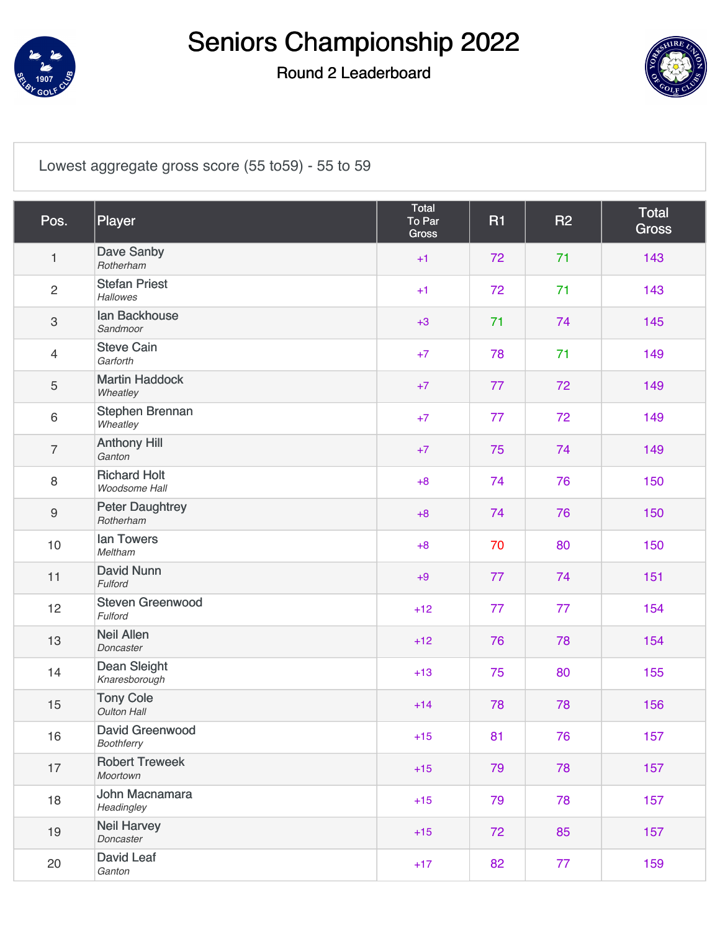

### Round 2 Leaderboard



[Lowest aggregate gross score \(55 to59\) - 55 to 59](https://static.golfgenius.com/v2tournaments/8198038242176563836?called_from=&round_index=2)

| Pos.             | Player                                 | Total<br>To Par<br>Gross | <b>R1</b> | <b>R2</b> | Total<br><b>Gross</b> |
|------------------|----------------------------------------|--------------------------|-----------|-----------|-----------------------|
| $\mathbf{1}$     | Dave Sanby<br>Rotherham                | $+1$                     | 72        | 71        | 143                   |
| $\overline{2}$   | <b>Stefan Priest</b><br>Hallowes       | $+1$                     | 72        | 71        | 143                   |
| $\mathfrak{S}$   | lan Backhouse<br>Sandmoor              | $+3$                     | 71        | 74        | 145                   |
| $\overline{4}$   | <b>Steve Cain</b><br>Garforth          | $+7$                     | 78        | 71        | 149                   |
| $\sqrt{5}$       | <b>Martin Haddock</b><br>Wheatley      | $+7$                     | 77        | 72        | 149                   |
| $\,6\,$          | Stephen Brennan<br>Wheatley            | $+7$                     | 77        | 72        | 149                   |
| $\overline{7}$   | <b>Anthony Hill</b><br>Ganton          | $+7$                     | 75        | 74        | 149                   |
| $\,8\,$          | <b>Richard Holt</b><br>Woodsome Hall   | $+8$                     | 74        | 76        | 150                   |
| $\boldsymbol{9}$ | <b>Peter Daughtrey</b><br>Rotherham    | $+8$                     | 74        | 76        | 150                   |
| 10               | lan Towers<br>Meltham                  | $+8$                     | 70        | 80        | 150                   |
| 11               | <b>David Nunn</b><br>Fulford           | $+9$                     | 77        | 74        | 151                   |
| 12               | <b>Steven Greenwood</b><br>Fulford     | $+12$                    | 77        | 77        | 154                   |
| 13               | <b>Neil Allen</b><br>Doncaster         | $+12$                    | 76        | 78        | 154                   |
| 14               | <b>Dean Sleight</b><br>Knaresborough   | $+13$                    | 75        | 80        | 155                   |
| 15               | <b>Tony Cole</b><br><b>Oulton Hall</b> | $+14$                    | 78        | 78        | 156                   |
| 16               | David Greenwood<br><b>Boothferry</b>   | $+15$                    | 81        | 76        | 157                   |
| 17               | <b>Robert Treweek</b><br>Moortown      | $+15$                    | 79        | 78        | 157                   |
| 18               | John Macnamara<br>Headingley           | $+15$                    | 79        | 78        | 157                   |
| 19               | <b>Neil Harvey</b><br>Doncaster        | $+15$                    | 72        | 85        | 157                   |
| 20               | David Leaf<br>Ganton                   | $+17$                    | 82        | 77        | 159                   |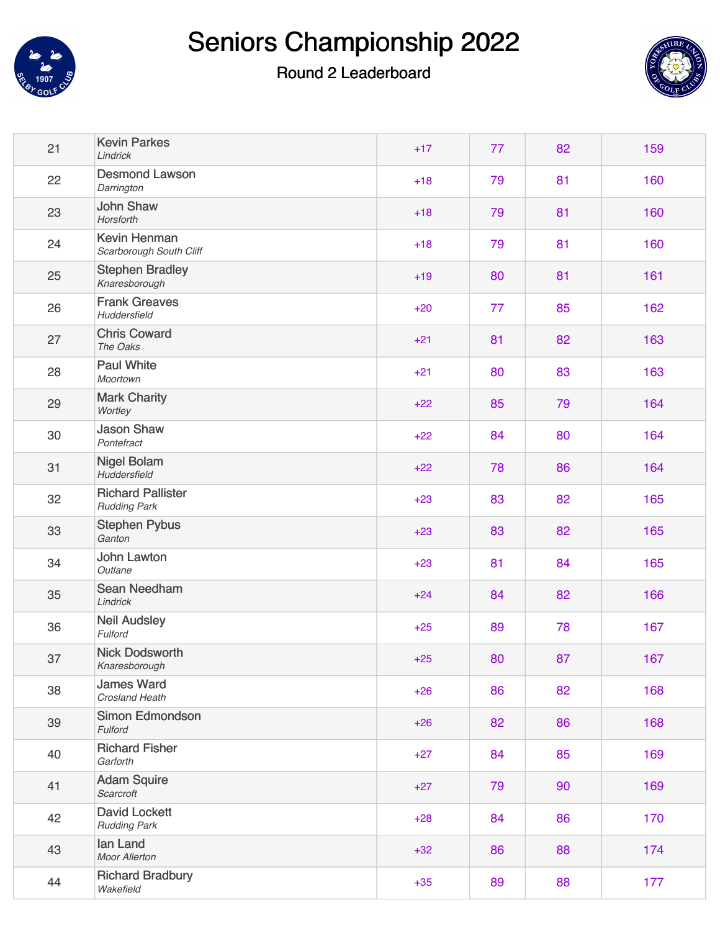



| 21 | <b>Kevin Parkes</b><br>Lindrick                 | $+17$ | 77 | 82 | 159 |
|----|-------------------------------------------------|-------|----|----|-----|
| 22 | <b>Desmond Lawson</b><br>Darrington             | $+18$ | 79 | 81 | 160 |
| 23 | <b>John Shaw</b><br>Horsforth                   | $+18$ | 79 | 81 | 160 |
| 24 | <b>Kevin Henman</b><br>Scarborough South Cliff  | $+18$ | 79 | 81 | 160 |
| 25 | <b>Stephen Bradley</b><br>Knaresborough         | $+19$ | 80 | 81 | 161 |
| 26 | <b>Frank Greaves</b><br>Huddersfield            | $+20$ | 77 | 85 | 162 |
| 27 | <b>Chris Coward</b><br>The Oaks                 | $+21$ | 81 | 82 | 163 |
| 28 | <b>Paul White</b><br>Moortown                   | $+21$ | 80 | 83 | 163 |
| 29 | <b>Mark Charity</b><br>Wortley                  | $+22$ | 85 | 79 | 164 |
| 30 | <b>Jason Shaw</b><br>Pontefract                 | $+22$ | 84 | 80 | 164 |
| 31 | <b>Nigel Bolam</b><br>Huddersfield              | $+22$ | 78 | 86 | 164 |
| 32 | <b>Richard Pallister</b><br><b>Rudding Park</b> | $+23$ | 83 | 82 | 165 |
| 33 | <b>Stephen Pybus</b><br>Ganton                  | $+23$ | 83 | 82 | 165 |
| 34 | John Lawton<br>Outlane                          | $+23$ | 81 | 84 | 165 |
| 35 | Sean Needham<br>Lindrick                        | $+24$ | 84 | 82 | 166 |
| 36 | <b>Neil Audsley</b><br>Fulford                  | $+25$ | 89 | 78 | 167 |
| 37 | <b>Nick Dodsworth</b><br>Knaresborough          | $+25$ | 80 | 87 | 167 |
| 38 | <b>James Ward</b><br>Crosland Heath             | $+26$ | 86 | 82 | 168 |
| 39 | Simon Edmondson<br>Fulford                      | $+26$ | 82 | 86 | 168 |
| 40 | <b>Richard Fisher</b><br>Garforth               | $+27$ | 84 | 85 | 169 |
| 41 | <b>Adam Squire</b><br>Scarcroft                 | $+27$ | 79 | 90 | 169 |
| 42 | <b>David Lockett</b><br><b>Rudding Park</b>     | $+28$ | 84 | 86 | 170 |
| 43 | lan Land<br><b>Moor Allerton</b>                | $+32$ | 86 | 88 | 174 |
| 44 | <b>Richard Bradbury</b><br>Wakefield            | $+35$ | 89 | 88 | 177 |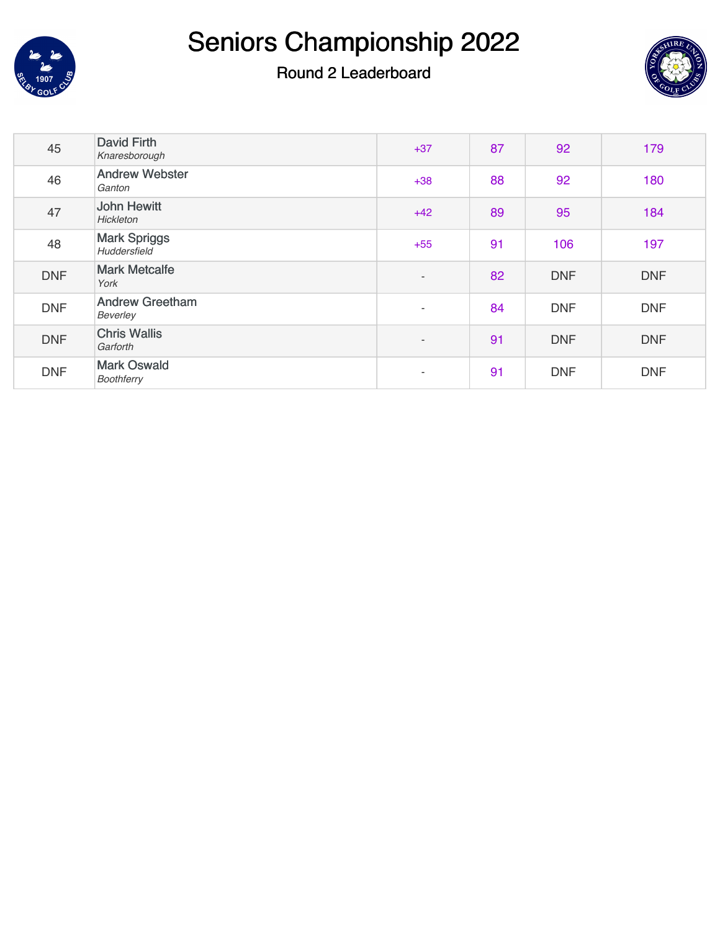



| 45         | David Firth<br>Knaresborough           | $+37$                    | 87 | 92         | 179        |
|------------|----------------------------------------|--------------------------|----|------------|------------|
| 46         | <b>Andrew Webster</b><br>Ganton        | $+38$                    | 88 | 92         | 180        |
| 47         | <b>John Hewitt</b><br><b>Hickleton</b> | $+42$                    | 89 | 95         | 184        |
| 48         | <b>Mark Spriggs</b><br>Huddersfield    | $+55$                    | 91 | 106        | 197        |
| <b>DNF</b> | <b>Mark Metcalfe</b><br>York           | $\overline{\phantom{a}}$ | 82 | <b>DNF</b> | <b>DNF</b> |
| <b>DNF</b> | <b>Andrew Greetham</b><br>Beverley     | $\sim$                   | 84 | <b>DNF</b> | <b>DNF</b> |
| <b>DNF</b> | <b>Chris Wallis</b><br>Garforth        | $\sim$                   | 91 | <b>DNF</b> | <b>DNF</b> |
| <b>DNF</b> | <b>Mark Oswald</b><br>Boothferry       | $\sim$                   | 91 | <b>DNF</b> | <b>DNF</b> |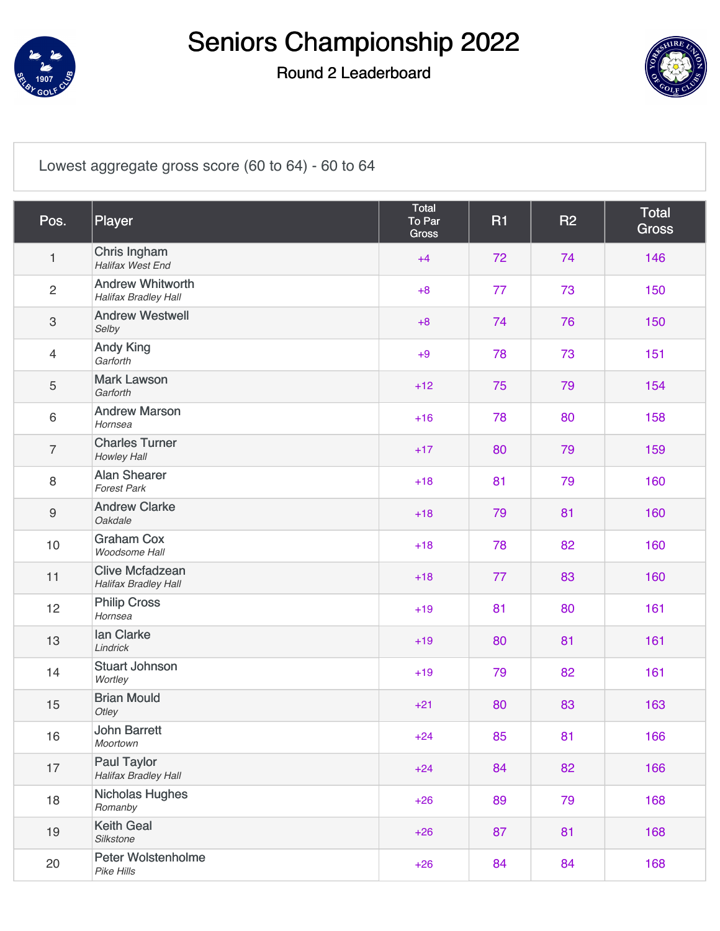

### Round 2 Leaderboard



#### [Lowest aggregate gross score \(60 to 64\) - 60 to 64](https://static.golfgenius.com/v2tournaments/8198038276502747775?called_from=&round_index=2)

| Pos.             | Player                                                 | Total<br>To Par<br>Gross | <b>R1</b> | R2 | <b>Total</b><br><b>Gross</b> |
|------------------|--------------------------------------------------------|--------------------------|-----------|----|------------------------------|
| $\mathbf{1}$     | Chris Ingham<br>Halifax West End                       | $+4$                     | 72        | 74 | 146                          |
| $\overline{2}$   | <b>Andrew Whitworth</b><br><b>Halifax Bradley Hall</b> | $+8$                     | 77        | 73 | 150                          |
| 3                | <b>Andrew Westwell</b><br>Selby                        | $+8$                     | 74        | 76 | 150                          |
| $\overline{4}$   | <b>Andy King</b><br>Garforth                           | $+9$                     | 78        | 73 | 151                          |
| 5                | <b>Mark Lawson</b><br>Garforth                         | $+12$                    | 75        | 79 | 154                          |
| 6                | <b>Andrew Marson</b><br>Hornsea                        | $+16$                    | 78        | 80 | 158                          |
| $\overline{7}$   | <b>Charles Turner</b><br>Howley Hall                   | $+17$                    | 80        | 79 | 159                          |
| 8                | <b>Alan Shearer</b><br><b>Forest Park</b>              | $+18$                    | 81        | 79 | 160                          |
| $\boldsymbol{9}$ | <b>Andrew Clarke</b><br>Oakdale                        | $+18$                    | 79        | 81 | 160                          |
| 10               | <b>Graham Cox</b><br>Woodsome Hall                     | $+18$                    | 78        | 82 | 160                          |
| 11               | <b>Clive Mcfadzean</b><br>Halifax Bradley Hall         | $+18$                    | 77        | 83 | 160                          |
| 12               | <b>Philip Cross</b><br>Hornsea                         | $+19$                    | 81        | 80 | 161                          |
| 13               | lan Clarke<br>Lindrick                                 | $+19$                    | 80        | 81 | 161                          |
| 14               | <b>Stuart Johnson</b><br>Wortley                       | $+19$                    | 79        | 82 | 161                          |
| 15               | <b>Brian Mould</b><br>Otley                            | $+21$                    | 80        | 83 | 163                          |
| 16               | <b>John Barrett</b><br>Moortown                        | $+24$                    | 85        | 81 | 166                          |
| 17               | <b>Paul Taylor</b><br><b>Halifax Bradley Hall</b>      | $+24$                    | 84        | 82 | 166                          |
| 18               | <b>Nicholas Hughes</b><br>Romanby                      | $+26$                    | 89        | 79 | 168                          |
| 19               | <b>Keith Geal</b><br>Silkstone                         | $+26$                    | 87        | 81 | 168                          |
| 20               | <b>Peter Wolstenholme</b><br>Pike Hills                | $+26$                    | 84        | 84 | 168                          |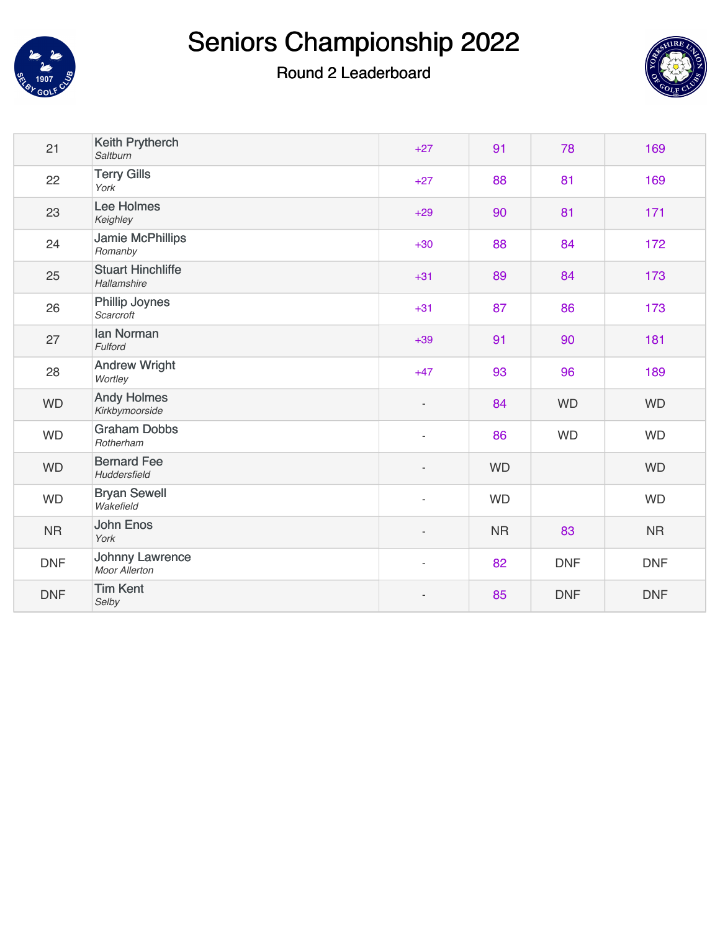



| 21         | Keith Prytherch<br>Saltburn             | $+27$                    | 91        | 78         | 169        |
|------------|-----------------------------------------|--------------------------|-----------|------------|------------|
| 22         | <b>Terry Gills</b><br>York              | $+27$                    | 88        | 81         | 169        |
| 23         | Lee Holmes<br>Keighley                  | $+29$                    | 90        | 81         | 171        |
| 24         | <b>Jamie McPhillips</b><br>Romanby      | $+30$                    | 88        | 84         | 172        |
| 25         | <b>Stuart Hinchliffe</b><br>Hallamshire | $+31$                    | 89        | 84         | 173        |
| 26         | Phillip Joynes<br>Scarcroft             | $+31$                    | 87        | 86         | 173        |
| 27         | Ian Norman<br>Fulford                   | $+39$                    | 91        | 90         | 181        |
| 28         | <b>Andrew Wright</b><br>Wortley         | $+47$                    | 93        | 96         | 189        |
| <b>WD</b>  | <b>Andy Holmes</b><br>Kirkbymoorside    | $\overline{\phantom{a}}$ | 84        | <b>WD</b>  | <b>WD</b>  |
| <b>WD</b>  | <b>Graham Dobbs</b><br>Rotherham        | $\overline{\phantom{a}}$ | 86        | <b>WD</b>  | <b>WD</b>  |
| <b>WD</b>  | <b>Bernard Fee</b><br>Huddersfield      | $\overline{\phantom{a}}$ | <b>WD</b> |            | <b>WD</b>  |
| <b>WD</b>  | <b>Bryan Sewell</b><br>Wakefield        | $\overline{\phantom{a}}$ | <b>WD</b> |            | <b>WD</b>  |
| <b>NR</b>  | <b>John Enos</b><br>York                | $\overline{\phantom{a}}$ | <b>NR</b> | 83         | <b>NR</b>  |
| <b>DNF</b> | <b>Johnny Lawrence</b><br>Moor Allerton | $\overline{\phantom{a}}$ | 82        | <b>DNF</b> | <b>DNF</b> |
| <b>DNF</b> | <b>Tim Kent</b><br>Selby                |                          | 85        | <b>DNF</b> | <b>DNF</b> |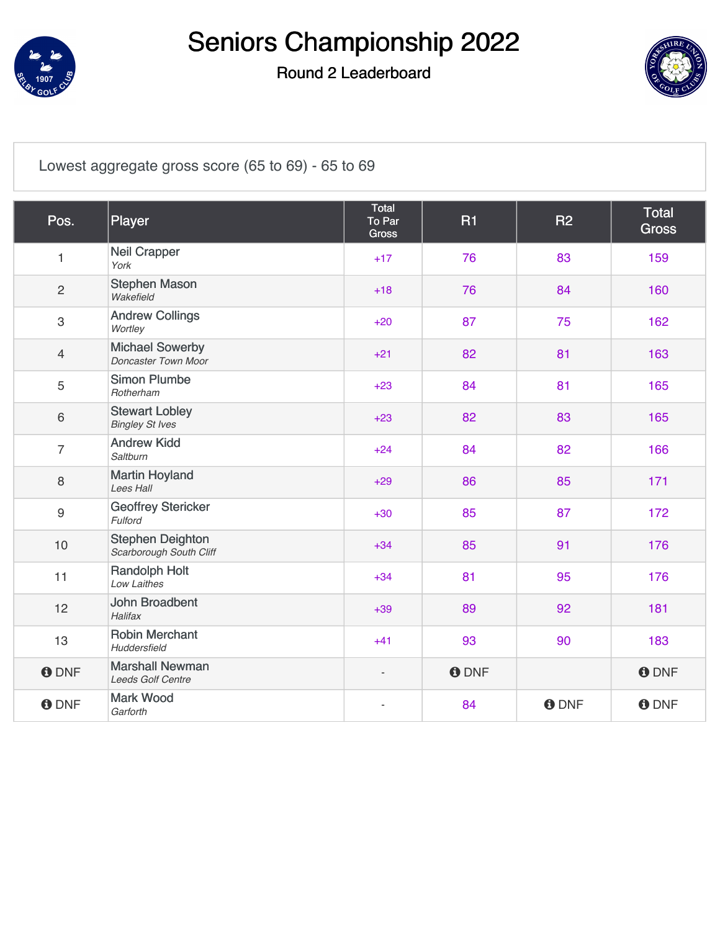

### Round 2 Leaderboard



[Lowest aggregate gross score \(65 to 69\) - 65 to 69](https://static.golfgenius.com/v2tournaments/8198038297038060162?called_from=&round_index=2)

| Pos.           | Player                                             | Total<br>To Par<br><b>Gross</b> | <b>R1</b>    | R <sub>2</sub> | <b>Total</b><br><b>Gross</b> |
|----------------|----------------------------------------------------|---------------------------------|--------------|----------------|------------------------------|
| 1              | <b>Neil Crapper</b><br>York                        | $+17$                           | 76           | 83             | 159                          |
| $\overline{c}$ | <b>Stephen Mason</b><br>Wakefield                  | $+18$                           | 76           | 84             | 160                          |
| 3              | <b>Andrew Collings</b><br>Wortley                  | $+20$                           | 87           | 75             | 162                          |
| $\overline{4}$ | <b>Michael Sowerby</b><br>Doncaster Town Moor      | $+21$                           | 82           | 81             | 163                          |
| 5              | <b>Simon Plumbe</b><br>Rotherham                   | $+23$                           | 84           | 81             | 165                          |
| 6              | <b>Stewart Lobley</b><br><b>Bingley St Ives</b>    | $+23$                           | 82           | 83             | 165                          |
| $\overline{7}$ | <b>Andrew Kidd</b><br>Saltburn                     | $+24$                           | 84           | 82             | 166                          |
| 8              | <b>Martin Hoyland</b><br>Lees Hall                 | $+29$                           | 86           | 85             | 171                          |
| 9              | <b>Geoffrey Stericker</b><br>Fulford               | $+30$                           | 85           | 87             | 172                          |
| 10             | <b>Stephen Deighton</b><br>Scarborough South Cliff | $+34$                           | 85           | 91             | 176                          |
| 11             | <b>Randolph Holt</b><br>Low Laithes                | $+34$                           | 81           | 95             | 176                          |
| 12             | <b>John Broadbent</b><br>Halifax                   | $+39$                           | 89           | 92             | 181                          |
| 13             | <b>Robin Merchant</b><br>Huddersfield              | $+41$                           | 93           | 90             | 183                          |
| <b>O</b> DNF   | <b>Marshall Newman</b><br>Leeds Golf Centre        | $\overline{\phantom{m}}$        | <b>O</b> DNF |                | <b>O</b> DNF                 |
| <b>O</b> DNF   | <b>Mark Wood</b><br>Garforth                       | $\overline{\phantom{a}}$        | 84           | <b>O</b> DNF   | <b>O</b> DNF                 |